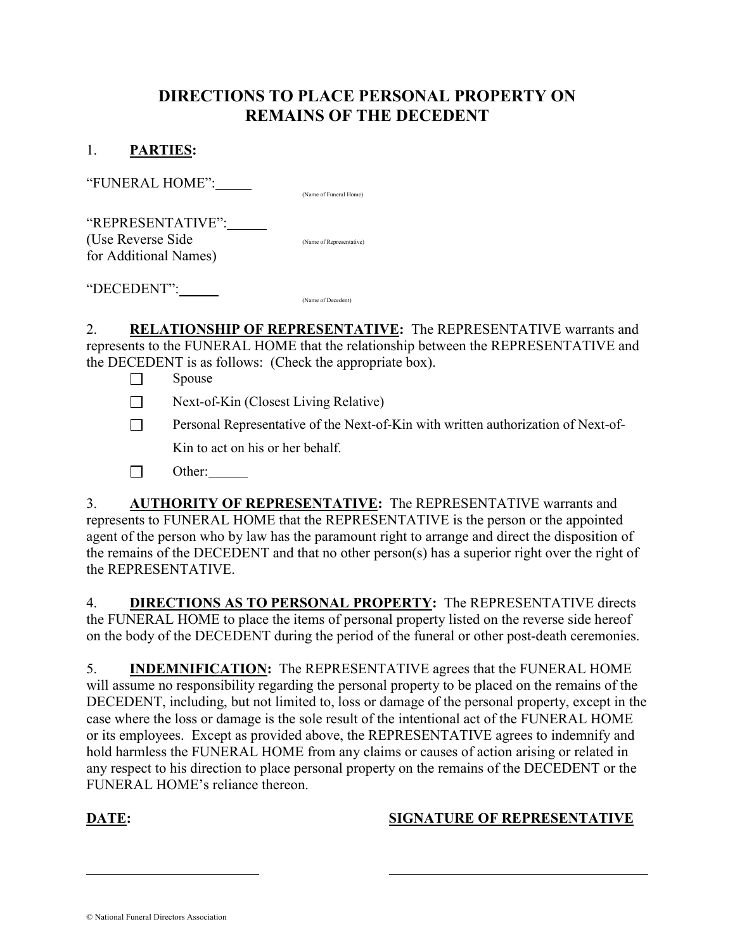# DIRECTIONS TO PLACE PERSONAL PROPERTY ON REMAINS OF THE DECEDENT

### 1. PARTIES:

"FUNERAL HOME": (Name of Funeral Home)

"REPRESENTATIVE": (Use Reverse Side (Name of Representative) for Additional Names)

"DECEDENT": (Name of Decedent)

2. RELATIONSHIP OF REPRESENTATIVE: The REPRESENTATIVE warrants and represents to the FUNERAL HOME that the relationship between the REPRESENTATIVE and the DECEDENT is as follows: (Check the appropriate box).

- $\Box$  Spouse
- $\Box$  Next-of-Kin (Closest Living Relative)
- **Personal Representative of the Next-of-Kin with written authorization of Next-of-**Kin to act on his or her behalf.
- □ Other:

3. AUTHORITY OF REPRESENTATIVE: The REPRESENTATIVE warrants and represents to FUNERAL HOME that the REPRESENTATIVE is the person or the appointed agent of the person who by law has the paramount right to arrange and direct the disposition of the remains of the DECEDENT and that no other person(s) has a superior right over the right of the REPRESENTATIVE.

4. DIRECTIONS AS TO PERSONAL PROPERTY: The REPRESENTATIVE directs the FUNERAL HOME to place the items of personal property listed on the reverse side hereof on the body of the DECEDENT during the period of the funeral or other post-death ceremonies.

5. **INDEMNIFICATION:** The REPRESENTATIVE agrees that the FUNERAL HOME will assume no responsibility regarding the personal property to be placed on the remains of the DECEDENT, including, but not limited to, loss or damage of the personal property, except in the case where the loss or damage is the sole result of the intentional act of the FUNERAL HOME or its employees. Except as provided above, the REPRESENTATIVE agrees to indemnify and hold harmless the FUNERAL HOME from any claims or causes of action arising or related in any respect to his direction to place personal property on the remains of the DECEDENT or the FUNERAL HOME's reliance thereon.

l

## DATE: SIGNATURE OF REPRESENTATIVE

© National Funeral Directors Association